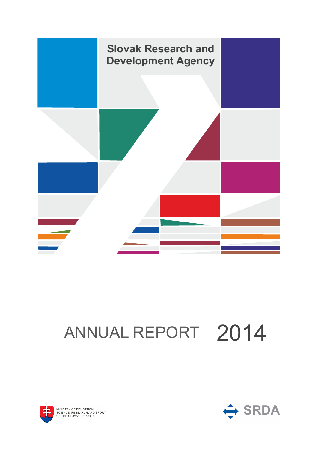

# ANNUAL REPORT 2014



OF MINISTRY OF EDUCAT<br>SCIENCE, RESEARCH<br>OF THE SLOVAK REPU Y OF EDUCA AK REPUBLIC TION,

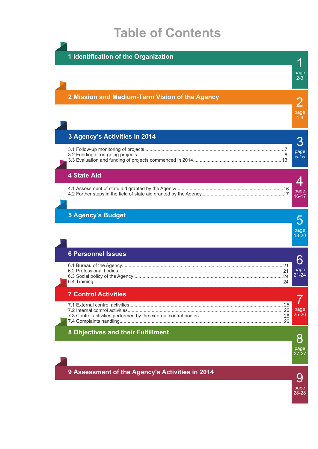## **Table of Contents**

**1 Identification of the Organization**

## page 2-3 **2 Mission and Medium-Term Vision of the Agency 3 Agency's Activities in 2014 4 State Aid** 3.1 Follow-up monitoring of projects......................................................................................................... 7 3.2 Funding of on-going projects............................................................................................................... 8 3.3 Evaluation and funding of projects commenced in 2014.................................................................... 13 4.1 Assessment of state aid granted by the Agency................................................................................ 16 4.2 Further steps in the field of state aid granted by the Agency.............................................................. 17 page page 5-15 page  $16 - 17$

## **5 Agency's Budget**

| page<br>18-20 |
|---------------|

1

2

4-4

3

4

## **6 Personnel Issues**

| <u>LA LANDI III DANGA </u>  |                   |
|-----------------------------|-------------------|
|                             | page<br>$21 - 24$ |
| <b>7 Control Activities</b> |                   |

| <b>TELEVISION ACTIVITIES</b> |  |
|------------------------------|--|
|                              |  |
|                              |  |
|                              |  |
|                              |  |
|                              |  |

## **8 Objectives and their Fulfillment**

8 page 27-27

**9 Assessment of the Agency's Activities in 2014**

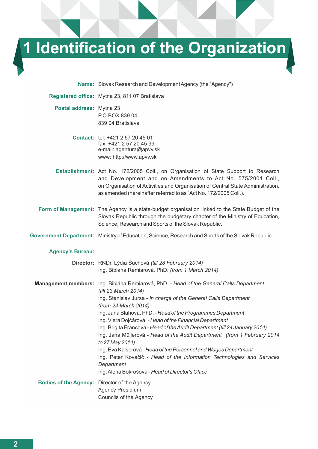# **1 Identification of the Organization**

**Name:** Slovak Research and Development Agency (the "Agency")

**Registered office:** Mýtna 23, 811 07 Bratislava **Postal address:** Mýtna 23 P.O.BOX 839 04 839 04 Bratislava **Contact:** tel: +421 2 57 20 45 01 fax: +421 2 57 20 45 99 e-mail: agentura@apvv.sk www: http://www.apvv.sk **Establishment:** Act No. 172/2005 Coll., on Organisation of State Support to Research and Development and on Amendments to Act No. 575/2001 Coll., on Organisation of Activities and Organisation of Central State Administration, as amended (hereinafter referred to as "Act No. 172/2005 Coll.). **Form of Management:** The Agency is a state-budget organisation linked to the State Budget of the Slovak Republic through the budgetary chapter of the Ministry of Education, Science, Research and Sports of the Slovak Republic.

**Government Department:** Ministry of Education, Science, Research and Sports of the Slovak Republic.

#### **Agency's Bureau:**

|                                                     | Director: RNDr. Lýdia Šuchová (till 28 February 2014)                                                           |
|-----------------------------------------------------|-----------------------------------------------------------------------------------------------------------------|
|                                                     | Ing. Bibiána Remiarová, PhD. (from 1 March 2014)                                                                |
|                                                     | Management members: Ing. Bibiána Remiarová, PhD. - Head of the General Calls Department<br>(till 23 March 2014) |
|                                                     | Ing. Stanislav Jursa - in charge of the General Calls Department<br>(from 24 March 2014)                        |
|                                                     | Ing. Jana Blahová, PhD. - Head of the Programmes Department                                                     |
|                                                     | Ing. Viera Dojčárová - Head of the Financial Department                                                         |
|                                                     | Ing. Brigita Francová - Head of the Audit Department (till 24 January 2014)                                     |
|                                                     | Ing. Jana Müllerová - Head of the Audit Department (from 1 February 2014<br>to 27 May 2014)                     |
|                                                     | Ing. Eva Kaiserová - Head of the Personnel and Wages Department                                                 |
|                                                     | Ing. Peter Kovačič - Head of the Information Technologies and Services<br>Department                            |
|                                                     | Ing. Alena Bokrošová - Head of Director's Office                                                                |
| <b>Bodies of the Agency: Director of the Agency</b> | <b>Agency Presidium</b>                                                                                         |
|                                                     | Councils of the Agency                                                                                          |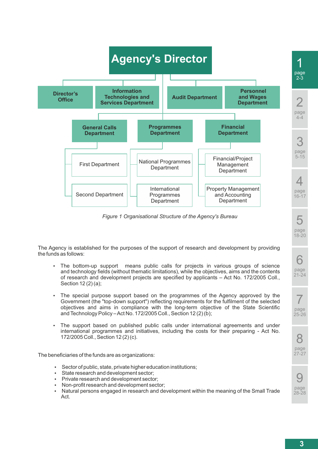

*Figure 1 Organisational Structure of the Agency's Bureau*

The Agency is established for the purposes of the support of research and development by providing the funds as follows:

- The bottom-up support means public calls for projects in various groups of science and technology fields (without thematic limitations), while the objectives, aims and the contents of research and development projects are specified by applicants – Act No. 172/2005 Coll., Section 12 (2) (a);
- The special purpose support based on the programmes of the Agency approved by the Government (the "top-down support") reflecting requirements for the fulfilment of the selected objectives and aims in compliance with the long-term objective of the State Scientific and Technology Policy – Act No. 172/2005 Coll., Section 12 (2) (b);
- The support based on published public calls under international agreements and under international programmes and initiatives, including the costs for their preparing - Act No. 172/2005 Coll., Section 12 (2) (c).

The beneficiaries of the funds are as organizations:

- Sector of public, state, private higher education institutions;
- State research and development sector:
- Private research and development sector:
- Non-profit research and development sector:
- Natural persons engaged in research and development within the meaning of the Small Trade Act.

5

page 18-20

6 page 21-24

7 page 25-26

8 page  $27 - 27$ 

9 page 28-28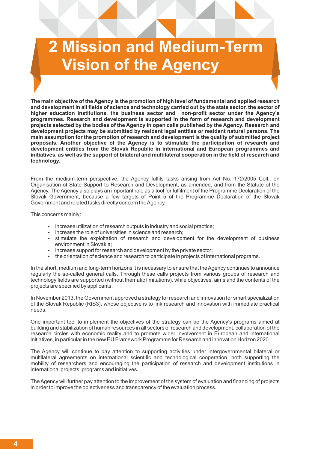# **2 Mission and Medium-Term Vision of the Agency**

**The main objective of the Agency is the promotion of high level of fundamental and applied research and development in all fields of science and technology carried out by the state sector, the sector of higher education institutions, the business sector and non-profit sector under the Agency's programmes. Research and development is supported in the form of research and development projects selected by the bodies of the Agency in open calls published by the Agency. Research and development projects may be submitted by resident legal entities or resident natural persons. The main assumption for the promotion of research and development is the quality of submitted project proposals. Another objective of the Agency is to stimulate the participation of research and development entities from the Slovak Republic in international and European programmes and initiatives, as well as the support of bilateral and multilateral cooperation in the field of research and technology.**

From the medium-term perspective, the Agency fulfils tasks arising from Act No. 172/2005 Coll., on Organisation of State Support to Research and Development, as amended, and from the Statute of the Agency. The Agency also plays an important role as a tool for fulfilment of the Programme Declaration of the Slovak Government, because a few targets of Point 5 of the Programme Declaration of the Slovak Government and related tasks directly concern the Agency.

This concerns mainly:

- $\bullet$  increase utilization of research outputs in industry and social practice;
- $\cdot$  increase the role of universities in science and research;
- stimulate the exploitation of research and development for the development of business environment in Slovakia;
- $\cdot$  increase support for research and development by the private sector;
- $\cdot$  the orientation of science and research to participate in projects of international programs.

In the short, medium and long-term horizons it is necessary to ensure that the Agency continues to announce regularly the so-called general calls. Through these calls projects from various groups of research and technology fields are supported (without thematic limitations), while objectives, aims and the contents of the projects are specified by applicants.

In November 2013, the Government approved a strategy for research and innovation for smart specialization of the Slovak Republic (RIS3), whose objective is to link research and innovation with immediate practical needs.

One important tool to implement the objectives of the strategy can be the Agency's programs aimed at building and stabilization of human resources in all sectors of research and development, collaboration of the research circles with economic reality and to promote wider involvement in European and international initiatives, in particular in the new EU Framework Programme for Research and innovation Horizon 2020.

The Agency will continue to pay attention to supporting activities under intergovernmental bilateral or multilateral agreements on international scientific and technological cooperation, both supporting the mobility of researchers and encouraging the participation of research and development institutions in international projects, programs and initiatives.

The Agency will further pay attention to the improvement of the system of evaluation and financing of projects in order to improve the objectiveness and transparency of the evaluation process.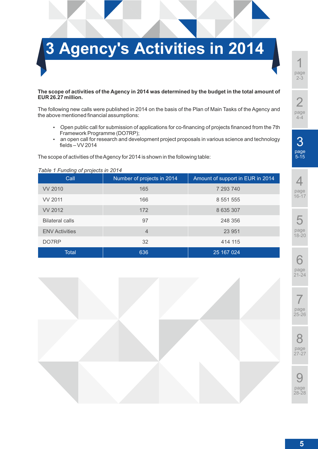

#### **The scope of activities of the Agency in 2014 was determined by the budget in the total amount of EUR 26.27 million.**

The following new calls were published in 2014 on the basis of the Plan of Main Tasks of the Agency and the above mentioned financial assumptions:

- Open public call for submission of applications for co-financing of projects financed from the 7th Framework Programme (DO7RP);
- an open call for research and development project proposals in various science and technology fields – VV 2014

The scope of activities of the Agency for 2014 is shown in the following table:

#### *Table 1 Funding of projects in 2014*

| Call                   | Number of projects in 2014 | Amount of support in EUR in 2014 |
|------------------------|----------------------------|----------------------------------|
| <b>VV 2010</b>         | 165                        | 7 293 740                        |
| <b>VV 2011</b>         | 166                        | 8 5 5 1 5 5 5                    |
| <b>VV 2012</b>         | 172                        | 8 635 307                        |
| <b>Bilateral calls</b> | 97                         | 248 356                          |
| <b>ENV Activities</b>  | $\overline{4}$             | 23 951                           |
| DO7RP                  | 32                         | 414 115                          |
| Total                  | 636                        | 25 167 024                       |







8 page 27-27

9 page 28-28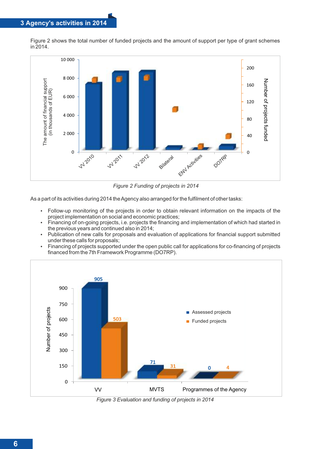Figure 2 shows the total number of funded projects and the amount of support per type of grant schemes in 2014.



*Figure 2 Funding of projects in 2014*

As a part of its activities during 2014 the Agency also arranged for the fulfilment of other tasks:

- Follow-up monitoring of the projects in order to obtain relevant information on the impacts of the project implementation on social and economic practices;
- Financing of on-going projects, i.e. projects the financing and implementation of which had started in the previous years and continued also in 2014;
- Publication of new calls for proposals and evaluation of applications for financial support submitted under these calls for proposals;
- Financing of projects supported under the open public call for applications for co-financing of projects financed from the 7th Framework Programme (DO7RP).



*Figure 3 Evaluation and funding of projects in 2014*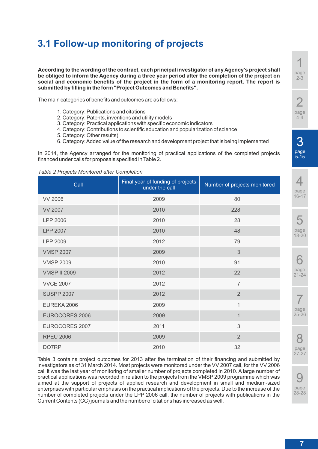## **3.1 Follow-up monitoring of projects**

**According to the wording of the contract, each principal investigator of any Agency's project shall be obliged to inform the Agency during a three year period after the completion of the project on social and economic benefits of the project in the form of a monitoring report. The report is submitted by filling in the form "Project Outcomes and Benefits".**

The main categories of benefits and outcomes are as follows:

- 1. Category: Publications and citations
- 2. Category: Patents, inventions and utility models
- 3. Category: Practical applications with specific economic indicators
- 4. Category: Contributions to scientific education and popularization of science
- 5. Category: Other results)
- 6. Category: Added value of the research and development project that is being implemented

In 2014, the Agency arranged for the monitoring of practical applications of the completed projects financed under calls for proposals specified in Table 2.

#### *Table 2 Projects Monitored after Completion*

| Call                  | Final year of funding of projects<br>under the call | Number of projects monitored |
|-----------------------|-----------------------------------------------------|------------------------------|
| <b>VV 2006</b>        | 2009                                                | 80                           |
| <b>VV 2007</b>        | 2010                                                | 228                          |
| LPP 2006              | 2010                                                | 28                           |
| <b>LPP 2007</b>       | 2010                                                | 48                           |
| LPP 2009              | 2012                                                | 79                           |
| <b>VMSP 2007</b>      | 2009                                                | 3                            |
| <b>VMSP 2009</b>      | 2010                                                | 91                           |
| <b>VMSP II 2009</b>   | 2012                                                | 22                           |
| <b>VVCE 2007</b>      | 2012                                                | $\overline{7}$               |
| <b>SUSPP 2007</b>     | 2012                                                | $\overline{2}$               |
| EUREKA 2006           | 2009                                                | 1                            |
| <b>EUROCORES 2006</b> | 2009                                                | $\mathbf 1$                  |
| EUROCORES 2007        | 2011                                                | 3                            |
| <b>RPEU 2006</b>      | 2009                                                | $\overline{2}$               |
| DO7RP                 | 2010                                                | 32                           |

Table 3 contains project outcomes for 2013 after the termination of their financing and submitted by investigators as of 31 March 2014. Most projects were monitored under the VV 2007 call, for the VV 2006 call it was the last year of monitoring of smaller number of projects completed in 2010. A large number of practical applications was recorded in relation to the projects from the VMSP 2009 programme which was aimed at the support of projects of applied research and development in small and medium-sized enterprises with particular emphasis on the practical implications of the projects. Due to the increase of the number of completed projects under the LPP 2006 call, the number of projects with publications in the Current Contents (CC) journals and the number of citations has increased as well.

1 page 2-3

 $\Delta$ page  $16 - 17$ 

page 18-20



8 page  $27 - 27$ 

9 page 28-28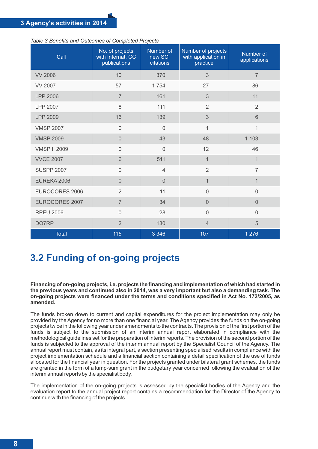| Call                  | No. of projects<br>with Internat. CC<br>publications | Number of<br>new SCI<br>citations | Number of projects<br>with application in<br>practice | Number of<br>applications |
|-----------------------|------------------------------------------------------|-----------------------------------|-------------------------------------------------------|---------------------------|
| <b>VV 2006</b>        | 10                                                   | 370                               | $\overline{3}$                                        | $\overline{7}$            |
| <b>VV 2007</b>        | 57                                                   | 1754                              | 27                                                    | 86                        |
| <b>LPP 2006</b>       | $\overline{7}$                                       | 161                               | 3                                                     | 11                        |
| <b>LPP 2007</b>       | 8                                                    | 111                               | $\overline{2}$                                        | $\overline{2}$            |
| LPP 2009              | 16                                                   | 139                               | 3                                                     | 6                         |
| <b>VMSP 2007</b>      | $\overline{0}$                                       | $\overline{0}$                    | 1                                                     | $\mathbf{1}$              |
| <b>VMSP 2009</b>      | $\overline{0}$                                       | 43                                | 48                                                    | 1 1 0 3                   |
| <b>VMSP II 2009</b>   | $\overline{0}$                                       | $\overline{0}$                    | 12                                                    | 46                        |
| <b>VVCE 2007</b>      | 6                                                    | 511                               | $\mathbf 1$                                           | 1                         |
| <b>SUSPP 2007</b>     | $\overline{0}$                                       | 4                                 | $\overline{2}$                                        | $\overline{7}$            |
| EUREKA 2006           | $\Omega$                                             | $\Omega$                          | $\mathbf{1}$                                          | 1                         |
| <b>EUROCORES 2006</b> | $\overline{2}$                                       | 11                                | $\overline{0}$                                        | $\overline{0}$            |
| <b>EUROCORES 2007</b> | $\overline{7}$                                       | 34                                | $\Omega$                                              | $\Omega$                  |
| <b>RPEU 2006</b>      | $\overline{0}$                                       | 28                                | $\overline{0}$                                        | $\overline{0}$            |
| DO7RP                 | $\overline{2}$                                       | 180                               | $\overline{4}$                                        | 5                         |
| <b>Total</b>          | 115                                                  | 3 3 4 6                           | 107                                                   | 1 2 7 6                   |

*Table 3 Benefits and Outcomes of Completed Projects*

## **3.2 Funding of on-going projects**

**Financing of on-going projects, i.e. projects the financing and implementation of which had started in the previous years and continued also in 2014, was a very important but also a demanding task. The on-going projects were financed under the terms and conditions specified in Act No. 172/2005, as amended.**

The funds broken down to current and capital expenditures for the project implementation may only be provided by the Agency for no more than one financial year. The Agency provides the funds on the on-going projects twice in the following year under amendments to the contracts. The provision of the first portion of the funds is subject to the submission of an interim annual report elaborated in compliance with the methodological guidelines set for the preparation of interim reports. The provision of the second portion of the funds is subjected to the approval of the interim annual report by the Specialist Council of the Agency. The annual report must contain, as its integral part, a section presenting specialised results in compliance with the project implementation schedule and a financial section containing a detail specification of the use of funds allocated for the financial year in question. For the projects granted under bilateral grant schemes, the funds are granted in the form of a lump-sum grant in the budgetary year concerned following the evaluation of the interim annual reports by the specialist body.

The implementation of the on-going projects is assessed by the specialist bodies of the Agency and the evaluation report to the annual project report contains a recommendation for the Director of the Agency to continue with the financing of the projects.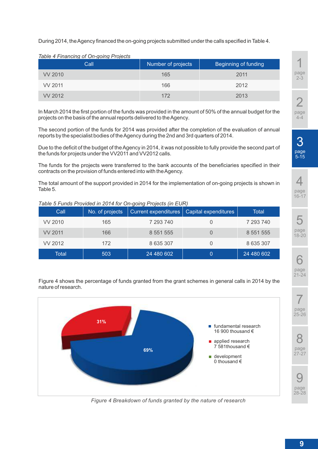During 2014, the Agency financed the on-going projects submitted under the calls specified in Table 4.

*Table 4 Financing of On-going Projects*

| Call    | Number of projects | Beginning of funding |
|---------|--------------------|----------------------|
| VV 2010 | 165                | 2011                 |
| VV 2011 | 166                | 2012                 |
| VV 2012 | 172                | 2013                 |

In March 2014 the first portion of the funds was provided in the amount of 50% of the annual budget for the projects on the basis of the annual reports delivered to the Agency.

The second portion of the funds for 2014 was provided after the completion of the evaluation of annual reports by the specialist bodies of the Agency during the 2nd and 3rd quarters of 2014.

Due to the deficit of the budget of the Agency in 2014, it was not possible to fully provide the second part of the funds for projects under the VV2011 and VV2012 calls.

The funds for the projects were transferred to the bank accounts of the beneficiaries specified in their contracts on the provision of funds entered into with the Agency.

The total amount of the support provided in 2014 for the implementation of on-going projects is shown in Table 5.

| Call    | No. of projects | Current expenditures | Capital expenditures | Total      |
|---------|-----------------|----------------------|----------------------|------------|
| VV 2010 | 165             | 7 293 740            |                      | 7 293 740  |
| VV 2011 | 166             | 8 5 5 1 5 5 5        |                      | 8 551 555  |
| VV 2012 | 172             | 8 635 307            |                      | 8 635 307  |
| Total   | 503             | 24 480 602           |                      | 24 480 602 |

*Table 5 Funds Provided in 2014 for On-going Projects (in EUR)*

Figure 4 shows the percentage of funds granted from the grant schemes in general calls in 2014 by the nature of research.



*Figure 4 Breakdown of funds granted by the nature of research*

1 page 2-3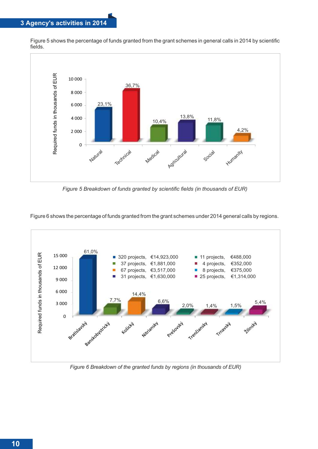## **3 Agency's activities in 2014**

Figure 5 shows the percentage of funds granted from the grant schemes in general calls in 2014 by scientific fields.



*Figure 5 Breakdown of funds granted by scientific fields (in thousands of EUR)*

Figure 6 shows the percentage of funds granted from the grant schemes under 2014 general calls by regions.



*Figure 6 Breakdown of the granted funds by regions (in thousands of EUR)*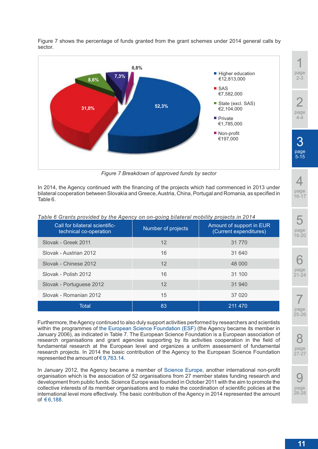

Figure 7 shows the percentage of funds granted from the grant schemes under 2014 general calls by sector.

*Figure 7 Breakdown of approved funds by sector*

In 2014, the Agency continued with the financing of the projects which had commenced in 2013 under bilateral cooperation between Slovakia and Greece, Austria, China, Portugal and Romania, as specified in Table 6.

| Call for bilateral scientific-<br>technical co-operation | Number of projects | Amount of support in EUR<br>(Current expenditures) |
|----------------------------------------------------------|--------------------|----------------------------------------------------|
| Slovak - Greek 2011                                      | $12 \overline{ }$  | 31 770                                             |
| Slovak - Austrian 2012                                   | 16                 | 31 640                                             |
| Slovak - Chinese 2012                                    | 12                 | 48 000                                             |
| Slovak - Polish 2012                                     | 16                 | 31 100                                             |
| Slovak - Portuguese 2012                                 | 12                 | 31 940                                             |
| Slovak - Romanian 2012                                   | 15                 | 37 0 20                                            |
| Total                                                    | 83                 | 211 470                                            |

*Table 6 Grants provided by the Agency on on-going bilateral mobility projects in 2014*

Furthermore, the Agency continued to also duly support activities performed by researchers and scientists within the programmes of the European Science Foundation (ESF) (the Agency became its member in January 2006), as indicated in Table 7. The European Science Foundation is a European association of research organisations and grant agencies supporting by its activities cooperation in the field of fundamental research at the European level and organizes a uniform assessment of fundamental research projects. In 2014 the basic contribution of the Agency to the European Science Foundation represented the amount of €9,763.14.

In January 2012, the Agency became a member of Science Europe, another international non-profit organisation which is the association of 52 organisations from 27 member states funding research and development from public funds. Science Europe was founded in October 2011 with the aim to promote the collective interests of its member organisations and to make the coordination of scientific policies at the international level more effectively. The basic contribution of the Agency in 2014 represented the amount of €6,188.

28-28

 $\overline{\mathcal{A}}$ 

page 16-17

5

page 18-20

6 page 21-24

7 page 25-26

8 page  $27 - 27$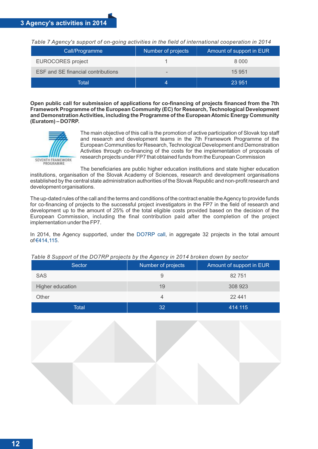*Table 7 Agency's support of on-going activities in the field of international cooperation in 2014*

| Call/Programme                            | Number of projects       | Amount of support in EUR |
|-------------------------------------------|--------------------------|--------------------------|
| <b>EUROCORES</b> project                  |                          | 8 0 0 0                  |
| <b>ESF and SE financial contributions</b> | $\overline{\phantom{a}}$ | 15 951                   |
| Total                                     |                          | 23 951                   |

**Open public call for submission of applications for co-financing of projects financed from the 7th Framework Programme of the European Community (EC) for Research, Technological Development and Demonstration Activities, including the Programme of the European Atomic Energy Community (Euratom) – DO7RP.**



The main objective of this call is the promotion of active participation of Slovak top staff and research and development teams in the 7th Framework Programme of the European Communities for Research, Technological Development and Demonstration Activities through co-financing of the costs for the implementation of proposals of research projects under FP7 that obtained funds from the European Commission

The beneficiaries are public higher education institutions and state higher education institutions, organisation of the Slovak Academy of Sciences, research and development organisations established by the central state administration authorities of the Slovak Republic and non-profit research and development organisations.

The up-dated rules of the call and the terms and conditions of the contract enable the Agency to provide funds for co-financing of projects to the successful project investigators in the FP7 in the field of research and development up to the amount of 25% of the total eligible costs provided based on the decision of the European Commission, including the final contribution paid after the completion of the project implementation under the FP7.

In 2014, the Agency supported, under the DO7RP call, in aggregate 32 projects in the total amount of €414,115.

| Sector           | Number of projects | Amount of support in EUR |
|------------------|--------------------|--------------------------|
| <b>SAS</b>       | 9                  | 82 751                   |
| Higher education | 19                 | 308 923                  |
| Other            |                    | 22 441                   |
| Total            | 32                 | 414 115                  |

## *Table 8 Support of the DO7RP projects by the Agency in 2014 broken down by sector*

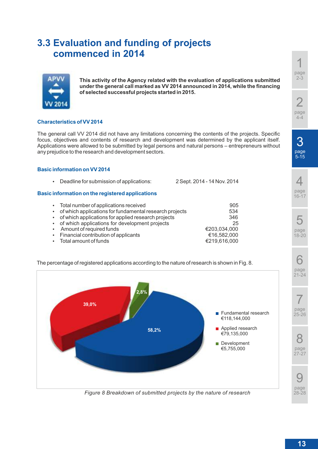## **3.3 Evaluation and funding of projects commenced in 2014**



**This activity of the Agency related with the evaluation of applications submitted under the general call marked as VV 2014 announced in 2014, while the financing of selected successful projects started in 2015.**

## **Characteristics of VV 2014**

The general call VV 2014 did not have any limitations concerning the contents of the projects. Specific focus, objectives and contents of research and development was determined by the applicant itself. Applications were allowed to be submitted by legal persons and natural persons – entrepreneurs without any prejudice to the research and development sectors.

#### **Basic information on VV 2014**

|                                     | • Deadline for submission of applications:                                                                                                                                                                    | 2 Sept. 2014 - 14 Nov. 2014                 |
|-------------------------------------|---------------------------------------------------------------------------------------------------------------------------------------------------------------------------------------------------------------|---------------------------------------------|
|                                     | Basic information on the registered applications                                                                                                                                                              |                                             |
| $\bullet$<br>$\bullet$              | • Total number of applications received<br>of which applications for fundamental research projects<br>of which applications for applied research projects<br>• of which applications for development projects | 905<br>534<br>346<br>25                     |
| $\bullet$<br>$\bullet$<br>$\bullet$ | Amount of required funds<br>Financial contribution of applicants<br>Total amount of funds                                                                                                                     | €203,034,000<br>€16,582,000<br>€219,616,000 |

The percentage of registered applications according to the nature of research is shown in Fig. 8.



*Figure 8 Breakdown of submitted projects by the nature of research*

1 page 2-3 2

5-15

page 4-4

6

7

8

9

28-28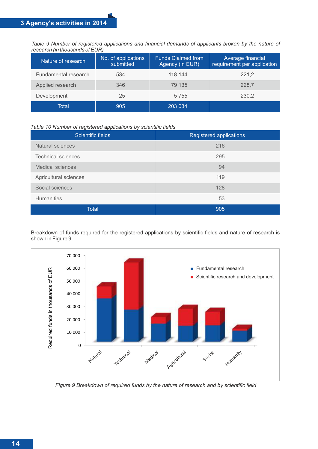*Table 9 Number of registered applications and financial demands of applicants broken by the nature of research (in thousands of EUR)*

| Nature of research   | No. of applications<br>submitted | <b>Funds Claimed from</b><br>Agency (in EUR) | Average financial<br>requirement per application |
|----------------------|----------------------------------|----------------------------------------------|--------------------------------------------------|
| Fundamental research | 534                              | 118 144                                      | 221,2                                            |
| Applied research     | 346                              | 79 135                                       | 228,7                                            |
| Development          | 25                               | 5 7 5 5                                      | 230,2                                            |
| Total                | 905                              | 203 034                                      |                                                  |

#### *Table 10 Number of registered applications by scientific fields*

| Scientific fields         | Registered applications |
|---------------------------|-------------------------|
| Natural sciences          | 216                     |
| <b>Technical sciences</b> | 295                     |
| <b>Medical sciences</b>   | 94                      |
| Agricultural sciences     | 119                     |
| Social sciences           | 128                     |
| <b>Humanities</b>         | 53                      |
| <b>Total</b>              | 905                     |

Breakdown of funds required for the registered applications by scientific fields and nature of research is shown in Figure 9.



*Figure 9 Breakdown of required funds by the nature of research and by scientific field*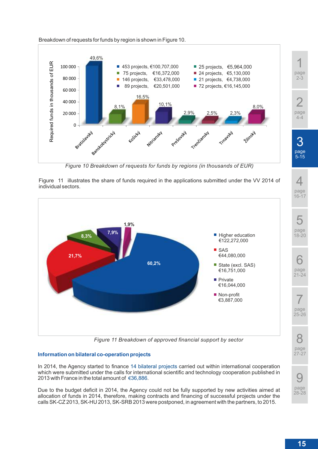



*Figure 10 Breakdown of requests for funds by regions (in thousands of EUR)*

Figure 11 illustrates the share of funds required in the applications submitted under the VV 2014 of individual sectors.



*Figure 11 Breakdown of approved financial support by sector*

## **Information on bilateral co-operation projects**

In 2014, the Agency started to finance 14 bilateral projects carried out within international cooperation which were submitted under the calls for international scientific and technology cooperation published in 2013 with France in the total amount of €36,886.

Due to the budget deficit in 2014, the Agency could not be fully supported by new activities aimed at allocation of funds in 2014, therefore, making contracts and financing of successful projects under the calls SK-CZ 2013, SK-HU 2013, SK-SRB 2013 were postponed, in agreement with the partners, to 2015.

1 page 2-3

2 page 4-4





**15**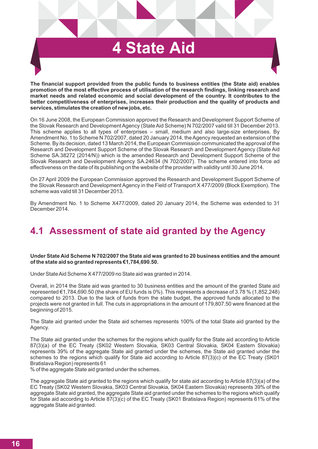# **4 State Aid**

**The financial support provided from the public funds to business entities (the State aid) enables promotion of the most effective process of utilisation of the research findings, linking research and market needs and related economic and social development of the country. It contributes to the better competitiveness of enterprises, increases their production and the quality of products and services, stimulates the creation of new jobs, etc.**

On 16 June 2008, the European Commission approved the Research and Development Support Scheme of the Slovak Research and Development Agency (State Aid Scheme) N 702/2007 valid till 31 December 2013. This scheme applies to all types of enterprises – small, medium and also large-size enterprises. By Amendment No. 1 to Scheme N 702/2007, dated 20 January 2014, the Agency requested an extension of the Scheme. By its decision, dated 13 March 2014, the European Commission communicated the approval of the Research and Development Support Scheme of the Slovak Research and Development Agency (State Aid Scheme SA.38272 (2014/N)) which is the amended Research and Development Support Scheme of the Slovak Research and Development Agency SA.24634 (N 702/2007). The scheme entered into force ad effectiveness on the date of its publishing on the website of the provider with validity until 30 June 2014.

On 27 April 2009 the European Commission approved the Research and Development Support Scheme of the Slovak Research and Development Agency in the Field of Transport X 477/2009 (Block Exemption). The scheme was valid till 31 December 2013.

By Amendment No. 1 to Scheme X477/2009, dated 20 January 2014, the Scheme was extended to 31 December 2014.

## **4.1 Assessment of state aid granted by the Agency**

**Under State Aid Scheme N 702/2007 the State aid was granted to 20 business entities and the amount of the state aid so granted represents €1,784,690.50.**

Under State Aid Scheme X 477/2009 no State aid was granted in 2014.

Overall, in 2014 the State aid was granted to 30 business entities and the amount of the granted State aid represented €1,784,690.50 (the share of EU funds is 0%). This represents a decrease of 3.78 % (1,852,248) compared to 2013. Due to the lack of funds from the state budget, the approved funds allocated to the projects were not granted in full. The cuts in appropriations in the amount of 179,807.50 were financed at the beginning of 2015.

The State aid granted under the State aid schemes represents 100% of the total State aid granted by the Agency.

The State aid granted under the schemes for the regions which qualify for the State aid according to Article 87(3)(a) of the EC Treaty (SK02 Western Slovakia, SK03 Central Slovakia, SK04 Eastern Slovakia) represents 39% of the aggregate State aid granted under the schemes, the State aid granted under the schemes to the regions which qualify for State aid according to Article 87(3)(c) of the EC Treaty (SK01 Bratislava Region) represents 61

% of the aggregate State aid granted under the schemes.

The aggregate State aid granted to the regions which qualify for state aid according to Article 87(3)(a) of the EC Treaty (SK02 Western Slovakia, SK03 Central Slovakia, SK04 Eastern Slovakia) represents 39% of the aggregate State aid granted, the aggregate State aid granted under the schemes to the regions which qualify for State aid according to Article 87(3)(c) of the EC Treaty (SK01 Bratislava Region) represents 61% of the aggregate State aid granted.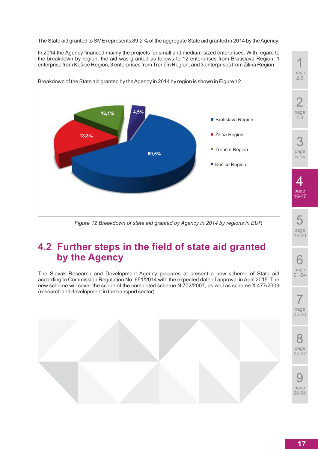The State aid granted to SME represents 89.2 % of the aggregate State aid granted in 2014 by the Agency.

In 2014 the Agency financed mainly the projects for small and medium-sized enterprises. With regard to the breakdown by region, the aid was granted as follows to 12 enterprises from Bratislava Region, 1 enterprise from Košice Region, 3 enterprises from Trenčín Region, and 3 enterprises from Žilina Region.



Breakdown of the State aid granted by the Agency in 2014 by region is shown in Figure 12.

*Figure 12 Breakdown of state aid granted by Agency in 2014 by regions in EUR*

## **4.2 Further steps in the field of state aid granted by the Agency**

The Slovak Research and Development Agency prepares at present a new scheme of State aid according to Commission Regulation No. 651/2014 with the expected date of approval in April 2015. The new scheme will cover the scope of the completed scheme N 702/2007, as well as scheme X 477/2009 (research and development in the transport sector).



1 page 2-3

4-4

3

4

5 page 18-20

6 page 21-24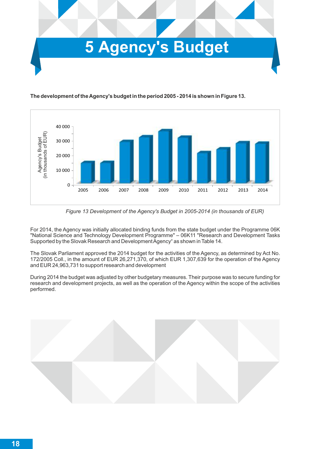



**The development of the Agency's budget in the period 2005 - 2014 is shown in Figure 13.**

*Figure 13 Development of the Agency's Budget in 2005-2014 (in thousands of EUR)*

For 2014, the Agency was initially allocated binding funds from the state budget under the Programme 06K "National Science and Technology Development Programme" – 06K11 "Research and Development Tasks Supported by the Slovak Research and Development Agency" as shown in Table 14.

The Slovak Parliament approved the 2014 budget for the activities of the Agency, as determined by Act No. 172/2005 Coll., in the amount of EUR 26,271,370, of which EUR 1,307,639 for the operation of the Agency and EUR 24,963,731 to support research and development

During 2014 the budget was adjusted by other budgetary measures. Their purpose was to secure funding for research and development projects, as well as the operation of the Agency within the scope of the activities performed.

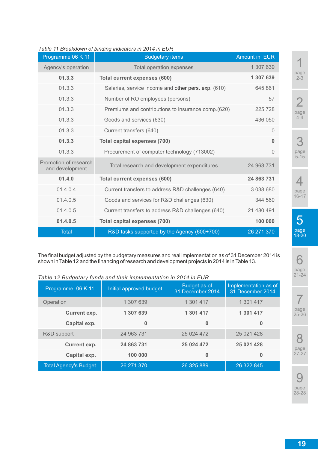| Programme 06 K 11                        | <b>Budgetary items</b>                              | <b>Amount in EUR</b> |
|------------------------------------------|-----------------------------------------------------|----------------------|
| Agency's operation                       | Total operation expenses                            | 1 307 639            |
| 01.3.3                                   | <b>Total current expenses (600)</b>                 | 1 307 639            |
| 01.3.3                                   | Salaries, service income and other pers. exp. (610) | 645 861              |
| 01.3.3                                   | Number of RO employees (persons)                    | 57                   |
| 01.3.3                                   | Premiums and contributions to insurance comp.(620)  | 225 728              |
| 01.3.3                                   | Goods and services (630)                            | 436 050              |
| 01.3.3                                   | Current transfers (640)                             | $\Omega$             |
| 01.3.3                                   | <b>Total capital expenses (700)</b>                 | 0                    |
| 01.3.3                                   | Procurement of computer technology (713002)         | $\Omega$             |
| Promotion of research<br>and development | Total research and development expenditures         | 24 963 731           |
| 01.4.0                                   | <b>Total current expenses (600)</b>                 | 24 863 731           |
| 01.4.0.4                                 | Current transfers to address R&D challenges (640)   | 3 038 680            |
| 01.4.0.5                                 | Goods and services for R&D challenges (630)         | 344 560              |
| 01.4.0.5                                 | Current transfers to address R&D challenges (640)   | 21 480 491           |
| 01.4.0.5                                 | <b>Total capital expenses (700)</b>                 | 100 000              |
| <b>Total</b>                             | R&D tasks supported by the Agency (600+700)         | 26 271 370           |

## *Table 11 Breakdown of binding indicators in 2014 in EUR*

The final budget adjusted by the budgetary measures and real implementation as of 31 December 2014 is shown in Table 12 and the financing of research and development projects in 2014 is in Table 13.

## *Table 12 Budgetary funds and their implementation in 2014 in EUR*

| Programme 06 K 11            | Initial approved budget | Budget as of<br>31 December 2014 | Implementation as of<br>31 December 2014 |
|------------------------------|-------------------------|----------------------------------|------------------------------------------|
| Operation                    | 1 307 639               | 1 301 417                        | 1 301 417                                |
| <b>Current exp.</b>          | 1 307 639               | 1 301 417                        | 1 301 417                                |
| Capital exp.                 | 0                       | 0                                | 0                                        |
| R&D support                  | 24 963 731              | 25 024 472                       | 25 021 428                               |
| <b>Current exp.</b>          | 24 863 731              | 25 024 472                       | 25 021 428                               |
| Capital exp.                 | 100 000                 | 0                                | 0                                        |
| <b>Total Agency's Budget</b> | 26 271 370              | 26 325 889                       | 26 322 845                               |

1 page 2-3

2 page 4-4

3 page 5-15

4 page 16-17

5 page 18-20

6 page 21-24

7 page 25-26

8 page 27-27

9 page 28-28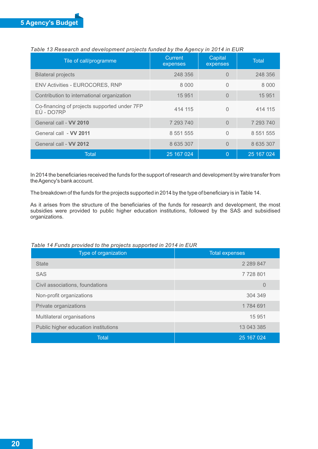| Tile of call/programme                                     | <b>Current</b><br>expenses | Capital<br>expenses | <b>Total</b>  |
|------------------------------------------------------------|----------------------------|---------------------|---------------|
| <b>Bilateral projects</b>                                  | 248 356                    | $\Omega$            | 248 356       |
| <b>ENV Activities - EUROCORES, RNP</b>                     | 8 0 0 0                    | $\Omega$            | 8 0 0 0       |
| Contribution to international organization                 | 15 951                     | $\Omega$            | 15 951        |
| Co-financing of projects supported under 7FP<br>EÚ - DO7RP | 414 115                    | $\Omega$            | 414 115       |
| General call - VV 2010                                     | 7 293 740                  | $\Omega$            | 7 293 740     |
| General call - VV 2011                                     | 8 551 555                  | $\Omega$            | 8 5 5 1 5 5 5 |
| General call - VV 2012                                     | 8 635 307                  | $\Omega$            | 8 635 307     |
| Total                                                      | 25 167 024                 | $\Omega$            | 25 167 024    |

## *Table 13 Research and development projects funded by the Agency in 2014 in EUR*

In 2014 the beneficiaries received the funds for the support of research and development by wire transfer from the Agency's bank account.

The breakdown of the funds for the projects supported in 2014 by the type of beneficiary is in Table 14.

As it arises from the structure of the beneficiaries of the funds for research and development, the most subsidies were provided to public higher education institutions, followed by the SAS and subsidised organizations.

#### *Table 14 Funds provided to the projects supported in 2014 in EUR*

| Type of organization                 | <b>Total expenses</b> |
|--------------------------------------|-----------------------|
| <b>State</b>                         | 2 2 8 9 8 4 7         |
| <b>SAS</b>                           | 7728801               |
| Civil associations, foundations      | $\overline{0}$        |
| Non-profit organizations             | 304 349               |
| Private organizations                | 1784 691              |
| Multilateral organisations           | 15 951                |
| Public higher education institutions | 13 043 385            |
| <b>Total</b>                         | 25 167 024            |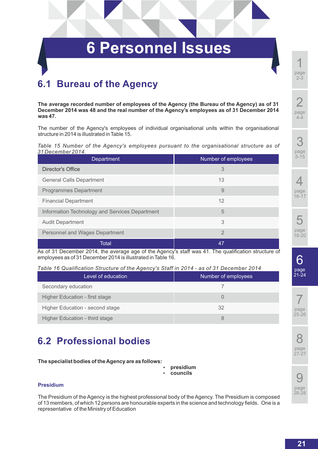# **6 Personnel Issues**

## **6.1 Bureau of the Agency**

**The average recorded number of employees of the Agency (the Bureau of the Agency) as of 31 December 2014 was 48 and the real number of the Agency's employees as of 31 December 2014 was 47.**

The number of the Agency's employees of individual organisational units within the organisational structure in 2014 is illustrated in Table 15.

*Table 15 Number of the Agency's employees pursuant to the organisational structure as of 31 December 2014.*

| <b>Department</b>                              | Number of employees |
|------------------------------------------------|---------------------|
| Director's Office                              | 3                   |
| <b>General Calls Department</b>                | 13                  |
| <b>Programmes Department</b>                   | 9                   |
| <b>Financial Department</b>                    | 12                  |
| Information Technology and Services Department | 5                   |
| <b>Audit Department</b>                        | 3                   |
| Personnel and Wages Department                 | $\overline{2}$      |
| Total                                          | 47                  |

As of 31 December 2014, the average age of the Agency's staff was 41. The qualification structure of employees as of 31 December 2014 is illustrated in Table 16.

*Table 16 Qualification Structure of the Agency's Staff in 2014 - as of 31 December 2014*

| Level of education              | Number of employees |
|---------------------------------|---------------------|
| Secondary education             |                     |
| Higher Education - first stage  |                     |
| Higher Education - second stage | 32                  |
| Higher Education - third stage  |                     |

## **6.2 Professional bodies**

## **The specialist bodies of the Agency are as follows:**

- **presidium**
- ź **councils**

## **Presidium**

The Presidium of the Agency is the highest professional body of the Agency. The Presidium is composed of 13 members, of which 12 persons are honourable experts in the science and technology fields. One is a representative of the Ministry of Education

page 4-4

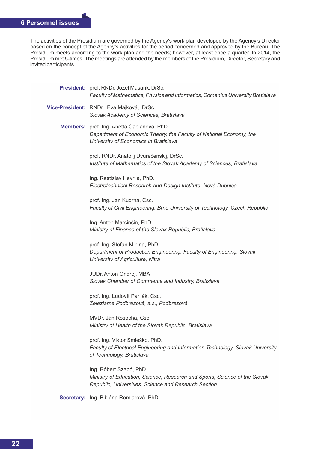The activities of the Presidium are governed by the Agency's work plan developed by the Agency's Director based on the concept of the Agency's activities for the period concerned and approved by the Bureau. The Presidium meets according to the work plan and the needs; however, at least once a quarter. In 2014, the Presidium met 5-times. The meetings are attended by the members of the Presidium, Director, Secretary and invited participants.

| President: prof. RNDr. Jozef Masarik, DrSc.<br>Faculty of Mathematics, Physics and Informatics, Comenius University Bratislava                                |
|---------------------------------------------------------------------------------------------------------------------------------------------------------------|
| Vice-President: RNDr. Eva Majková, DrSc.<br>Slovak Academy of Sciences, Bratislava                                                                            |
| Members: prof. Ing. Anetta Čaplánová, PhD.<br>Department of Economic Theory, the Faculty of National Economy, the<br>University of Economics in Bratislava    |
| prof. RNDr. Anatolij Dvurečenskij, DrSc.<br>Institute of Mathematics of the Slovak Academy of Sciences, Bratislava                                            |
| Ing. Rastislav Havrila, PhD.<br>Electrotechnical Research and Design Institute, Nová Dubnica                                                                  |
| prof. Ing. Jan Kudrna, Csc.<br>Faculty of Civil Engineering, Brno University of Technology, Czech Republic                                                    |
| Ing. Anton Marcinčin, PhD.<br>Ministry of Finance of the Slovak Republic, Bratislava                                                                          |
| prof. Ing. Štefan Mihina, PhD.<br>Department of Production Engineering, Faculty of Engineering, Slovak<br>University of Agriculture, Nitra                    |
| JUDr. Anton Ondrej, MBA<br>Slovak Chamber of Commerce and Industry, Bratislava                                                                                |
| prof. Ing. Ľudovít Parilák, Csc.<br>Železiarne Podbrezová, a.s., Podbrezová                                                                                   |
| MVDr. Ján Rosocha, Csc.<br>Ministry of Health of the Slovak Republic, Bratislava                                                                              |
| prof. Ing. Viktor Smieško, PhD.<br>Faculty of Electrical Engineering and Information Technology, Slovak University<br>of Technology, Bratislava               |
| Ing. Róbert Szabó, PhD.<br>Ministry of Education, Science, Research and Sports, Science of the Slovak<br>Republic, Universities, Science and Research Section |
|                                                                                                                                                               |

**Secretary:** Ing. Bibiána Remiarová, PhD.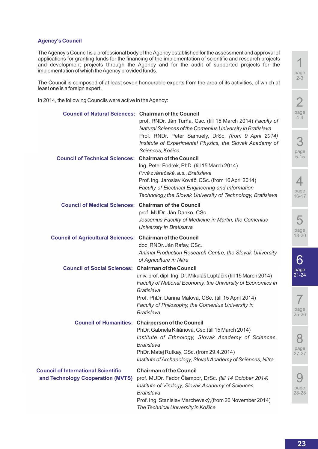## **Agency's Council**

The Agency's Council is a professional body of the Agency established for the assessment and approval of applications for granting funds for the financing of the implementation of scientific and research projects and development projects through the Agency and for the audit of supported projects for the implementation of which the Agency provided funds.

The Council is composed of at least seven honourable experts from the area of its activities, of which at least one is a foreign expert.

In 2014, the following Councils were active in the Agency:

| <b>Council of Natural Sciences: Chairman of the Council</b>                     | prof. RNDr. Ján Turňa, Csc. (till 15 March 2014) Faculty of                                                                                                                                                                                                                                                                                                                                                                                                              | p                       |
|---------------------------------------------------------------------------------|--------------------------------------------------------------------------------------------------------------------------------------------------------------------------------------------------------------------------------------------------------------------------------------------------------------------------------------------------------------------------------------------------------------------------------------------------------------------------|-------------------------|
| <b>Council of Technical Sciences: Chairman of the Council</b>                   | Natural Sciences of the Comenius University in Bratislava<br>Prof. RNDr. Peter Samuely, DrSc. (from 9 April 2014)<br>Institute of Experimental Physics, the Slovak Academy of<br>Sciences, Košice<br>Ing. Peter Fodrek, PhD. (till 15 March 2014)<br>Prvá zváračská, a.s., Bratislava<br>Prof. Ing. Jaroslav Kováč, CSc. (from 16 April 2014)<br><b>Faculty of Electrical Engineering and Information</b><br>Technology, the Slovak University of Technology, Bratislava | ŗ                       |
| <b>Council of Medical Sciences: Chairman of the Council</b>                     | prof. MUDr. Ján Danko, CSc.<br>Jessenius Faculty of Medicine in Martin, the Comenius<br>University in Bratislava                                                                                                                                                                                                                                                                                                                                                         |                         |
| <b>Council of Agricultural Sciences: Chairman of the Council</b>                | doc. RNDr. Ján Rafay, CSc.<br>Animal Production Research Centre, the Slovak University<br>of Agriculture in Nitra                                                                                                                                                                                                                                                                                                                                                        |                         |
| <b>Council of Social Sciences: Chairman of the Council</b>                      | univ. prof. dipl. Ing. Dr. Mikuláš Luptáčik (till 15 March 2014)<br>Faculty of National Economy, the University of Economics in<br><b>Bratislava</b><br>Prof. PhDr. Darina Malová, CSc. (till 15 April 2014)<br>Faculty of Philosophy, the Comenius University in<br><b>Bratislava</b>                                                                                                                                                                                   | $\frac{5}{2}$<br>p<br>2 |
|                                                                                 | <b>Council of Humanities: Chairperson of the Council</b><br>PhDr. Gabriela Kiliánová, Csc. (till 15 March 2014)<br>Institute of Ethnology, Slovak Academy of Sciences,<br>Bratislava<br>PhDr. Matej Rutkay, CSc. (from 29.4.2014)<br>Institute of Archaeology, Slovak Academy of Sciences, Nitra                                                                                                                                                                         | $\overline{2}$          |
| <b>Council of International Scientific</b><br>and Technology Cooperation (MVTS) | <b>Chairman of the Council</b><br>prof. MUDr. Fedor Čiampor, DrSc. (till 14 October 2014)<br>Institute of Virology, Slovak Academy of Sciences,<br><b>Bratislava</b><br>Prof. Ing. Stanislav Marchevský, (from 26 November 2014)<br>The Technical University in Košice                                                                                                                                                                                                   | $\overline{2}$          |

page 2-3

1



8 page 27-27

9 page 28-28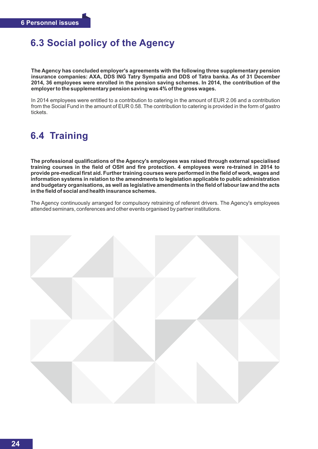## **6.3 Social policy of the Agency**

**The Agency has concluded employer's agreements with the following three supplementary pension insurance companies: AXA, DDS ING Tatry Sympatia and DDS of Tatra banka. As of 31 December 2014, 36 employees were enrolled in the pension saving schemes. In 2014, the contribution of the employer to the supplementary pension saving was 4% of the gross wages.**

In 2014 employees were entitled to a contribution to catering in the amount of EUR 2.06 and a contribution from the Social Fund in the amount of EUR 0.58. The contribution to catering is provided in the form of gastro tickets.

## **6.4 Training**

**The professional qualifications of the Agency's employees was raised through external specialised training courses in the field of OSH and fire protection. 4 employees were re-trained in 2014 to provide pre-medical first aid. Further training courses were performed in the field of work, wages and information systems in relation to the amendments to legislation applicable to public administration and budgetary organisations, as well as legislative amendments in the field of labour law and the acts in the field of social and health insurance schemes.**

The Agency continuously arranged for compulsory retraining of referent drivers. The Agency's employees attended seminars, conferences and other events organised by partner institutions.

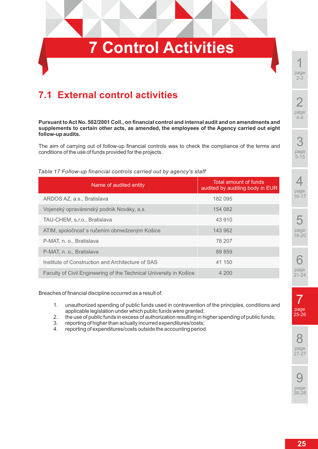# **7 Control Activities**

## **7.1 External control activities**

*Table 17 Follow-up financial controls carried out by agency's staff*

**Pursuant to Act No. 502/2001 Coll., on financial control and internal audit and on amendments and supplements to certain other acts, as amended, the employees of the Agency carried out eight follow-up audits.**

The aim of carrying out of follow-up financial controls was to check the compliance of the terms and conditions of the use of funds provided for the projects.

## Name of audited entity Total amount of funds audited by auditing body in EUR ARDOS AZ, a.s., Bratislava 182 095 Vojenský opravárenský podnik Nováky, a.s. 154 082 TAU-CHEM, s.r.o., Bratislava 43 910 ATIM, spoločnosť s ručením obmedzeným Košice 143 962

| The man operation of a committed and construction in the set of the set of the set of the set of the set of the | . <i>.</i> |
|-----------------------------------------------------------------------------------------------------------------|------------|
| P-MAT, n. o., Bratislava                                                                                        | 78 207     |
| P-MAT, n. o., Bratislava                                                                                        | 89 859     |
| Institute of Construction and Architecture of SAS                                                               | 41 150     |
| Faculty of Civil Engineering of the Technical University in Košice                                              | 4 200      |

## Breaches of financial discipline occurred as a result of:

- 1. unauthorized spending of public funds used in contravention of the principles, conditions and applicable legislation under which public funds were granted;
- 2. the use of public funds in excess of authorization resulting in higher spending of public funds;
- 3. reporting of higher than actually incurred expenditures/costs;
- 4. reporting of expenditures/costs outside the accounting period.

1 page 2-3

# 5-15

3 page

 $\Delta$ page 16-17







page  $27 - 27$ 

9 page 28-28

7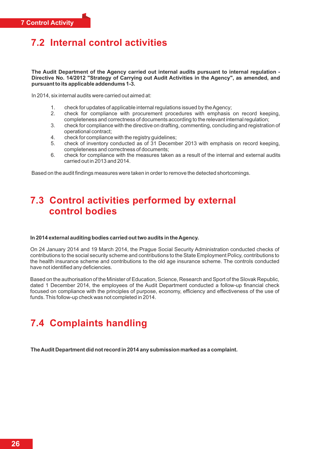## **7.2 Internal control activities**

**The Audit Department of the Agency carried out internal audits pursuant to internal regulation - Directive No. 14/2012 "Strategy of Carrying out Audit Activities in the Agency", as amended, and pursuant to its applicable addendums 1-3.**

In 2014, six internal audits were carried out aimed at:

- 1. check for updates of applicable internal regulations issued by the Agency;
- 2. check for compliance with procurement procedures with emphasis on record keeping, completeness and correctness of documents according to the relevant internal regulation;
- 3. check for compliance with the directive on drafting, commenting, concluding and registration of operational contract;
- 4. check for compliance with the registry guidelines;
- 5. check of inventory conducted as of 31 December 2013 with emphasis on record keeping, completeness and correctness of documents;
- 6. check for compliance with the measures taken as a result of the internal and external audits carried out in 2013 and 2014.

Based on the audit findings measures were taken in order to remove the detected shortcomings.

## **7.3 Control activities performed by external control bodies**

#### **In 2014 external auditing bodies carried out two audits in the Agency.**

On 24 January 2014 and 19 March 2014, the Prague Social Security Administration conducted checks of contributions to the social security scheme and contributions to the State Employment Policy, contributions to the health insurance scheme and contributions to the old age insurance scheme. The controls conducted have not identified any deficiencies.

Based on the authorisation of the Minister of Education, Science, Research and Sport of the Slovak Republic, dated 1 December 2014, the employees of the Audit Department conducted a follow-up financial check focused on compliance with the principles of purpose, economy, efficiency and effectiveness of the use of funds. This follow-up check was not completed in 2014.

## **7.4 Complaints handling**

**The Audit Department did not record in 2014 any submission marked as a complaint.**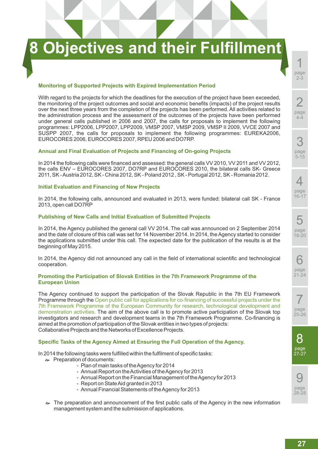# **8 Objectives and their Fulfillment**

#### **Monitoring of Supported Projects with Expired Implementation Period**

With regard to the projects for which the deadlines for the execution of the project have been exceeded, the monitoring of the project outcomes and social and economic benefits (impacts) of the project results over the next three years from the completion of the projects has been performed. All activities related to the administration process and the assessment of the outcomes of the projects have been performed under general calls published in 2006 and 2007, the calls for proposals to implement the following programmes: LPP2006, LPP2007, LPP2009, VMSP 2007, VMSP 2009, VMSP II 2009, VVCE 2007 and SUSPP 2007, the calls for proposals to implement the following programmes: EUREKA2006, EUROCORES 2006, EUROCORES 2007, RPEU 2006 and DO7RP.

#### **Annual and Final Evaluation of Projects and Financing of On-going Projects**

In 2014 the following calls were financed and assessed: the general calls VV 2010, VV 2011 and VV 2012, the calls ENV – EUROCORES 2007, DO7RP and EUROCORES 2010, the bilateral calls SK- Greece 2011, SK - Austria 2012, SK - China 2012, SK - Poland 2012 , SK - Portugal 2012, SK - Romania 2012.

#### **Initial Evaluation and Financing of New Projects**

In 2014, the following calls, announced and evaluated in 2013, were funded: bilateral call SK - France 2013, open call DO7RP

#### **Publishing of New Calls and Initial Evaluation of Submitted Projects**

In 2014, the Agency published the general call VV 2014. The call was announced on 2 September 2014 and the date of closure of this call was set for 14 November 2014. In 2014, the Agency started to consider the applications submitted under this call. The expected date for the publication of the results is at the beginning of May 2015.

In 2014, the Agency did not announced any call in the field of international scientific and technological cooperation.

#### **Promoting the Participation of Slovak Entities in the 7th Framework Programme of the European Union**

The Agency continued to support the participation of the Slovak Republic in the 7th EU Framework Programme through the Open public call for applications for co-financing of successful projects under the 7th Framework Programme of the European Community for research, technological development and demonstration activities. The aim of the above call is to promote active participation of the Slovak top investigators and research and development teams in the 7th Framework Programme. Co-financing is aimed at the promotion of participation of the Slovak entities in two types of projects: Collaborative Projects and the Networks of Excellence Projects.

#### **Specific Tasks of the Agency Aimed at Ensuring the Full Operation of the Agency.**

In 2014 the following tasks were fulfilled within the fulfilment of specific tasks:

- $\bullet$  Preparation of documents:
	- Plan of main tasks of the Agency for 2014
	- Annual Report on the Activities of the Agency for 2013
	- Annual Report on the Financial Management of the Agency for 2013
	- Report on State Aid granted in 2013
	- Annual Financial Statements of the Agency for 2013
- $\sim$  The preparation and announcement of the first public calls of the Agency in the new information management system and the submission of applications.

1 page 2-3

page 4-4 3

page 5-15

 $\varDelta$ 

page 16-17

5

page 18-20

6 page 21-24

7 page 25-26

8 page 27-27

 $\mathbf C$ page 28-28

2

**27**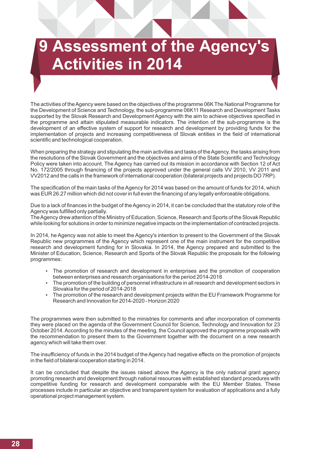# **Assessment of the Agency Activities in 2014**

The activities of the Agency were based on the objectives of the programme 06K The National Programme for the Development of Science and Technology, the sub-programme 06K11 Research and Development Tasks supported by the Slovak Research and Development Agency with the aim to achieve objectives specified in the programme and attain stipulated measurable indicators. The intention of the sub-programme is the development of an effective system of support for research and development by providing funds for the implementation of projects and increasing competitiveness of Slovak entities in the field of international scientific and technological cooperation.

When preparing the strategy and stipulating the main activities and tasks of the Agency, the tasks arising from the resolutions of the Slovak Government and the objectives and aims of the State Scientific and Technology Policy were taken into account. The Agency has carried out its mission in accordance with Section 12 of Act No. 172/2005 through financing of the projects approved under the general calls VV 2010, VV 2011 and VV2012 and the calls in the framework of international cooperation (bilateral projects and projects DO 7RP).

The specification of the main tasks of the Agency for 2014 was based on the amount of funds for 2014, which was EUR 26.27 million which did not cover in full even the financing of any legally enforceable obligations.

Due to a lack of finances in the budget of the Agency in 2014, it can be concluded that the statutory role of the Agency was fulfilled only partially.

The Agency drew attention of the Ministry of Education, Science, Research and Sports of the Slovak Republic while looking for solutions in order to minimize negative impacts on the implementation of contracted projects.

In 2014, he Agency was not able to meet the Agency's intention to present to the Government of the Slovak Republic new programmes of the Agency which represent one of the main instrument for the competitive research and development funding for in Slovakia. In 2014, the Agency prepared and submitted to the Minister of Education, Science, Research and Sports of the Slovak Republic the proposals for the following programmes:

- The promotion of research and development in enterprises and the promotion of cooperation between enterprises and research organisations for the period 2014-2018
- The promotion of the building of personnel infrastructure in all research and development sectors in Slovakia for the period of 2014-2018
- The promotion of the research and development projects within the EU Framework Programme for Research and Innovation for 2014-2020 - Horizon 2020

The programmes were then submitted to the ministries for comments and after incorporation of comments they were placed on the agenda of the Government Council for Science, Technology and Innovation for 23 October 2014. According to the minutes of the meeting, the Council approved the programme proposals with the recommendation to present them to the Government together with the document on a new research agency which will take them over.

The insufficiency of funds in the 2014 budget of the Agency had negative effects on the promotion of projects in the field of bilateral cooperation starting in 2014.

It can be concluded that despite the issues raised above the Agency is the only national grant agency promoting research and development through national resources with established standard procedures with competitive funding for research and development comparable with the EU Member States. These processes include in particular an objective and transparent system for evaluation of applications and a fully operational project management system.